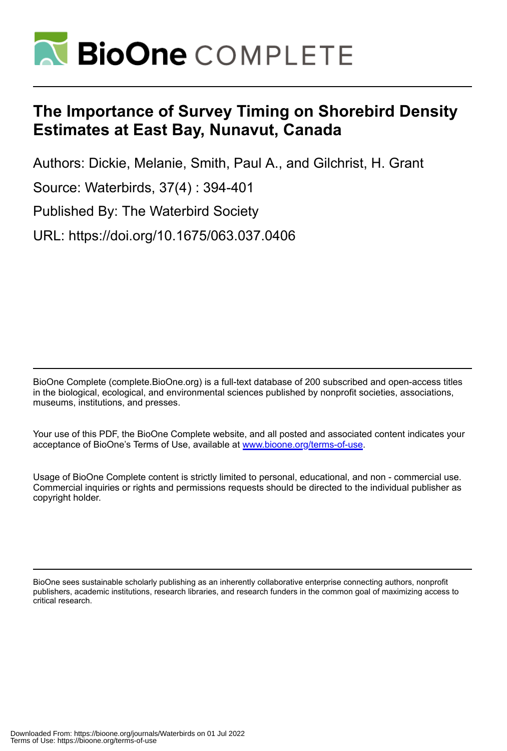

# **The Importance of Survey Timing on Shorebird Density Estimates at East Bay, Nunavut, Canada**

Authors: Dickie, Melanie, Smith, Paul A., and Gilchrist, H. Grant

Source: Waterbirds, 37(4) : 394-401

Published By: The Waterbird Society

URL: https://doi.org/10.1675/063.037.0406

BioOne Complete (complete.BioOne.org) is a full-text database of 200 subscribed and open-access titles in the biological, ecological, and environmental sciences published by nonprofit societies, associations, museums, institutions, and presses.

Your use of this PDF, the BioOne Complete website, and all posted and associated content indicates your acceptance of BioOne's Terms of Use, available at www.bioone.org/terms-of-use.

Usage of BioOne Complete content is strictly limited to personal, educational, and non - commercial use. Commercial inquiries or rights and permissions requests should be directed to the individual publisher as copyright holder.

BioOne sees sustainable scholarly publishing as an inherently collaborative enterprise connecting authors, nonprofit publishers, academic institutions, research libraries, and research funders in the common goal of maximizing access to critical research.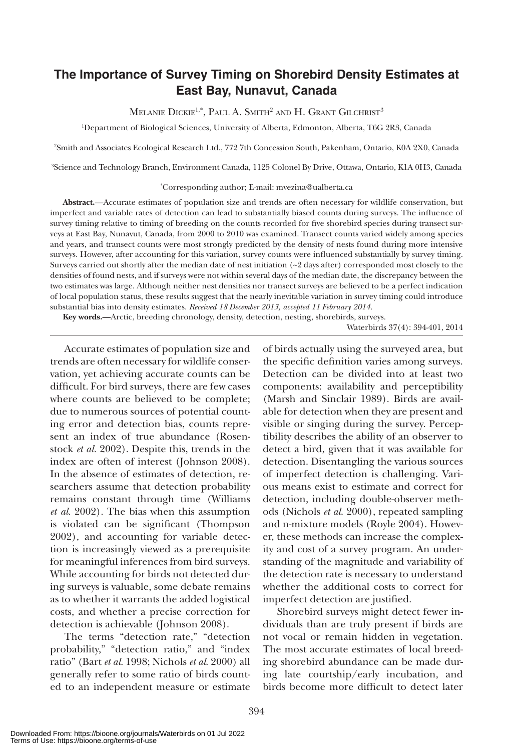# **The Importance of Survey Timing on Shorebird Density Estimates at East Bay, Nunavut, Canada**

MELANIE DICKIE<sup>1,\*</sup>, PAUL A. SMITH<sup>2</sup> AND H. GRANT GILCHRIST<sup>3</sup>

1 Department of Biological Sciences, University of Alberta, Edmonton, Alberta, T6G 2R3, Canada

2 Smith and Associates Ecological Research Ltd., 772 7th Concession South, Pakenham, Ontario, K0A 2X0, Canada

3 Science and Technology Branch, Environment Canada, 1125 Colonel By Drive, Ottawa, Ontario, K1A 0H3, Canada

\* Corresponding author; E-mail: mvezina@ualberta.ca

**Abstract.—**Accurate estimates of population size and trends are often necessary for wildlife conservation, but imperfect and variable rates of detection can lead to substantially biased counts during surveys. The influence of survey timing relative to timing of breeding on the counts recorded for five shorebird species during transect surveys at East Bay, Nunavut, Canada, from 2000 to 2010 was examined. Transect counts varied widely among species and years, and transect counts were most strongly predicted by the density of nests found during more intensive surveys. However, after accounting for this variation, survey counts were influenced substantially by survey timing. Surveys carried out shortly after the median date of nest initiation  $(\sim 2 \text{ days after})$  corresponded most closely to the densities of found nests, and if surveys were not within several days of the median date, the discrepancy between the two estimates was large. Although neither nest densities nor transect surveys are believed to be a perfect indication of local population status, these results suggest that the nearly inevitable variation in survey timing could introduce substantial bias into density estimates. *Received 18 December 2013, accepted 11 February 2014.*

**Key words.—**Arctic, breeding chronology, density, detection, nesting, shorebirds, surveys.

Waterbirds 37(4): 394-401, 2014

Accurate estimates of population size and trends are often necessary for wildlife conservation, yet achieving accurate counts can be difficult. For bird surveys, there are few cases where counts are believed to be complete; due to numerous sources of potential counting error and detection bias, counts represent an index of true abundance (Rosenstock *et al*. 2002). Despite this, trends in the index are often of interest (Johnson 2008). In the absence of estimates of detection, researchers assume that detection probability remains constant through time (Williams *et al*. 2002). The bias when this assumption is violated can be significant (Thompson 2002), and accounting for variable detection is increasingly viewed as a prerequisite for meaningful inferences from bird surveys. While accounting for birds not detected during surveys is valuable, some debate remains as to whether it warrants the added logistical costs, and whether a precise correction for detection is achievable (Johnson 2008).

The terms "detection rate," "detection probability," "detection ratio," and "index ratio" (Bart *et al*. 1998; Nichols *et al*. 2000) all generally refer to some ratio of birds counted to an independent measure or estimate

of birds actually using the surveyed area, but the specific definition varies among surveys. Detection can be divided into at least two components: availability and perceptibility (Marsh and Sinclair 1989). Birds are available for detection when they are present and visible or singing during the survey. Perceptibility describes the ability of an observer to detect a bird, given that it was available for detection. Disentangling the various sources of imperfect detection is challenging. Various means exist to estimate and correct for detection, including double-observer methods (Nichols *et al*. 2000), repeated sampling and n-mixture models (Royle 2004). However, these methods can increase the complexity and cost of a survey program. An understanding of the magnitude and variability of the detection rate is necessary to understand whether the additional costs to correct for imperfect detection are justified.

Shorebird surveys might detect fewer individuals than are truly present if birds are not vocal or remain hidden in vegetation. The most accurate estimates of local breeding shorebird abundance can be made during late courtship/early incubation, and birds become more difficult to detect later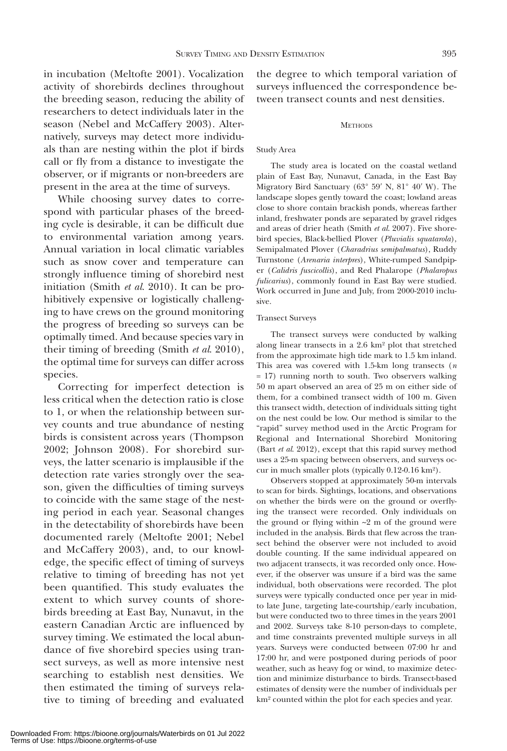in incubation (Meltofte 2001). Vocalization activity of shorebirds declines throughout the breeding season, reducing the ability of researchers to detect individuals later in the season (Nebel and McCaffery 2003). Alternatively, surveys may detect more individuals than are nesting within the plot if birds call or fly from a distance to investigate the observer, or if migrants or non-breeders are present in the area at the time of surveys.

While choosing survey dates to correspond with particular phases of the breeding cycle is desirable, it can be difficult due to environmental variation among years. Annual variation in local climatic variables such as snow cover and temperature can strongly influence timing of shorebird nest initiation (Smith *et al*. 2010). It can be prohibitively expensive or logistically challenging to have crews on the ground monitoring the progress of breeding so surveys can be optimally timed. And because species vary in their timing of breeding (Smith *et al*. 2010), the optimal time for surveys can differ across species.

Correcting for imperfect detection is less critical when the detection ratio is close to 1, or when the relationship between survey counts and true abundance of nesting birds is consistent across years (Thompson 2002; Johnson 2008). For shorebird surveys, the latter scenario is implausible if the detection rate varies strongly over the season, given the difficulties of timing surveys to coincide with the same stage of the nesting period in each year. Seasonal changes in the detectability of shorebirds have been documented rarely (Meltofte 2001; Nebel and McCaffery 2003), and, to our knowledge, the specific effect of timing of surveys relative to timing of breeding has not yet been quantified. This study evaluates the extent to which survey counts of shorebirds breeding at East Bay, Nunavut, in the eastern Canadian Arctic are influenced by survey timing. We estimated the local abundance of five shorebird species using transect surveys, as well as more intensive nest searching to establish nest densities. We then estimated the timing of surveys relative to timing of breeding and evaluated

the degree to which temporal variation of surveys influenced the correspondence between transect counts and nest densities.

### **METHODS**

## Study Area

The study area is located on the coastal wetland plain of East Bay, Nunavut, Canada, in the East Bay Migratory Bird Sanctuary (63° 59′ N, 81° 40′ W). The landscape slopes gently toward the coast; lowland areas close to shore contain brackish ponds, whereas farther inland, freshwater ponds are separated by gravel ridges and areas of drier heath (Smith *et al*. 2007). Five shorebird species, Black-bellied Plover (*Pluvialis squatarola*), Semipalmated Plover (*Charadrius semipalmatus*), Ruddy Turnstone (*Arenaria interpres*), White-rumped Sandpiper (*Calidris fuscicollis*), and Red Phalarope (*Phalaropus fulicarius*), commonly found in East Bay were studied. Work occurred in June and July, from 2000-2010 inclusive.

### Transect Surveys

The transect surveys were conducted by walking along linear transects in a 2.6 km² plot that stretched from the approximate high tide mark to 1.5 km inland. This area was covered with 1.5-km long transects (*n*  = 17) running north to south. Two observers walking 50 m apart observed an area of 25 m on either side of them, for a combined transect width of 100 m. Given this transect width, detection of individuals sitting tight on the nest could be low. Our method is similar to the "rapid" survey method used in the Arctic Program for Regional and International Shorebird Monitoring (Bart *et al*. 2012), except that this rapid survey method uses a 25-m spacing between observers, and surveys occur in much smaller plots (typically 0.12-0.16 km²).

Observers stopped at approximately 50-m intervals to scan for birds. Sightings, locations, and observations on whether the birds were on the ground or overflying the transect were recorded. Only individuals on the ground or flying within  $\sim$ 2 m of the ground were included in the analysis. Birds that flew across the transect behind the observer were not included to avoid double counting. If the same individual appeared on two adjacent transects, it was recorded only once. However, if the observer was unsure if a bird was the same individual, both observations were recorded. The plot surveys were typically conducted once per year in midto late June, targeting late-courtship/early incubation, but were conducted two to three times in the years 2001 and 2002. Surveys take 8-10 person-days to complete, and time constraints prevented multiple surveys in all years. Surveys were conducted between 07:00 hr and 17:00 hr, and were postponed during periods of poor weather, such as heavy fog or wind, to maximize detection and minimize disturbance to birds. Transect-based estimates of density were the number of individuals per km² counted within the plot for each species and year.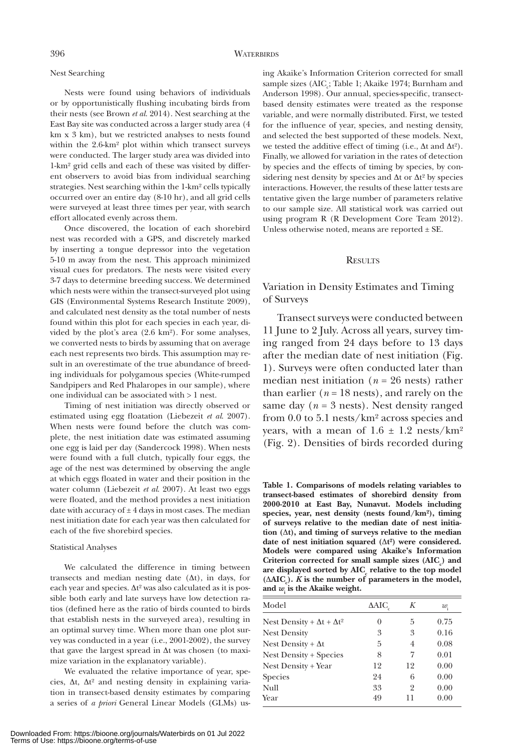# Nest Searching

Nests were found using behaviors of individuals or by opportunistically flushing incubating birds from their nests (see Brown *et al*. 2014). Nest searching at the East Bay site was conducted across a larger study area (4 km x 3 km), but we restricted analyses to nests found within the 2.6-km² plot within which transect surveys were conducted. The larger study area was divided into 1-km² grid cells and each of these was visited by different observers to avoid bias from individual searching strategies. Nest searching within the 1-km² cells typically occurred over an entire day (8-10 hr), and all grid cells were surveyed at least three times per year, with search effort allocated evenly across them.

Once discovered, the location of each shorebird nest was recorded with a GPS, and discretely marked by inserting a tongue depressor into the vegetation 5-10 m away from the nest. This approach minimized visual cues for predators. The nests were visited every 3-7 days to determine breeding success. We determined which nests were within the transect-surveyed plot using GIS (Environmental Systems Research Institute 2009), and calculated nest density as the total number of nests found within this plot for each species in each year, divided by the plot's area (2.6 km²). For some analyses, we converted nests to birds by assuming that on average each nest represents two birds. This assumption may result in an overestimate of the true abundance of breeding individuals for polygamous species (White-rumped Sandpipers and Red Phalaropes in our sample), where one individual can be associated with > 1 nest.

Timing of nest initiation was directly observed or estimated using egg floatation (Liebezeit *et al*. 2007). When nests were found before the clutch was complete, the nest initiation date was estimated assuming one egg is laid per day (Sandercock 1998). When nests were found with a full clutch, typically four eggs, the age of the nest was determined by observing the angle at which eggs floated in water and their position in the water column (Liebezeit *et al*. 2007). At least two eggs were floated, and the method provides a nest initiation date with accuracy of  $\pm 4$  days in most cases. The median nest initiation date for each year was then calculated for each of the five shorebird species.

#### Statistical Analyses

We calculated the difference in timing between transects and median nesting date (Δt), in days, for each year and species. Δt² was also calculated as it is possible both early and late surveys have low detection ratios (defined here as the ratio of birds counted to birds that establish nests in the surveyed area), resulting in an optimal survey time. When more than one plot survey was conducted in a year (i.e., 2001-2002), the survey that gave the largest spread in Δt was chosen (to maximize variation in the explanatory variable).

We evaluated the relative importance of year, species, Δt, Δt² and nesting density in explaining variation in transect-based density estimates by comparing a series of *a priori* General Linear Models (GLMs) using Akaike's Information Criterion corrected for small sample sizes (AIC<sub>c</sub>; Table 1; Akaike 1974; Burnham and Anderson 1998). Our annual, species-specific, transectbased density estimates were treated as the response variable, and were normally distributed. First, we tested for the influence of year, species, and nesting density, and selected the best supported of these models. Next, we tested the additive effect of timing (i.e.,  $\Delta t$  and  $\Delta t^2$ ). Finally, we allowed for variation in the rates of detection by species and the effects of timing by species, by considering nest density by species and Δt or Δt² by species interactions. However, the results of these latter tests are tentative given the large number of parameters relative to our sample size. All statistical work was carried out using program R (R Development Core Team 2012). Unless otherwise noted, means are reported  $\pm$  SE.

# **RESULTS**

# Variation in Density Estimates and Timing of Surveys

Transect surveys were conducted between 11 June to 2 July. Across all years, survey timing ranged from 24 days before to 13 days after the median date of nest initiation (Fig. 1). Surveys were often conducted later than median nest initiation (*n* = 26 nests) rather than earlier ( $n = 18$  nests), and rarely on the same day ( $n = 3$  nests). Nest density ranged from 0.0 to 5.1 nests/km² across species and years, with a mean of  $1.6 \pm 1.2$  nests/km<sup>2</sup> (Fig. 2). Densities of birds recorded during

**Table 1. Comparisons of models relating variables to transect-based estimates of shorebird density from 2000-2010 at East Bay, Nunavut. Models including species, year, nest density (nests found/km²), timing of surveys relative to the median date of nest initiation (**Δ**t), and timing of surveys relative to the median date of nest initiation squared (**Δ**t²) were considered. Models were compared using Akaike's Information**  Criterion corrected for small sample sizes (AIC<sub>c</sub>) and are displayed sorted by  $\text{AIC}_c$  relative to the top model **(ΔAIC<sub>c</sub>).** *K* is the number of parameters in the model, **and** *w***<sup>i</sup> is the Akaike weight.**

| Model                                    | ΔAIC | K  | w.   |
|------------------------------------------|------|----|------|
| Nest Density + $\Delta t$ + $\Delta t^2$ | 0    | 5  | 0.75 |
| <b>Nest Density</b>                      | 3    | 3  | 0.16 |
| Nest Density + $\Delta t$                | 5    | 4  | 0.08 |
| <b>Nest Density + Species</b>            | 8    | 7  | 0.01 |
| Nest Density + Year                      | 12   | 12 | 0.00 |
| <b>Species</b>                           | 24   | 6  | 0.00 |
| Null                                     | 33   | 2  | 0.00 |
| Year                                     | 49   | 11 | 0.00 |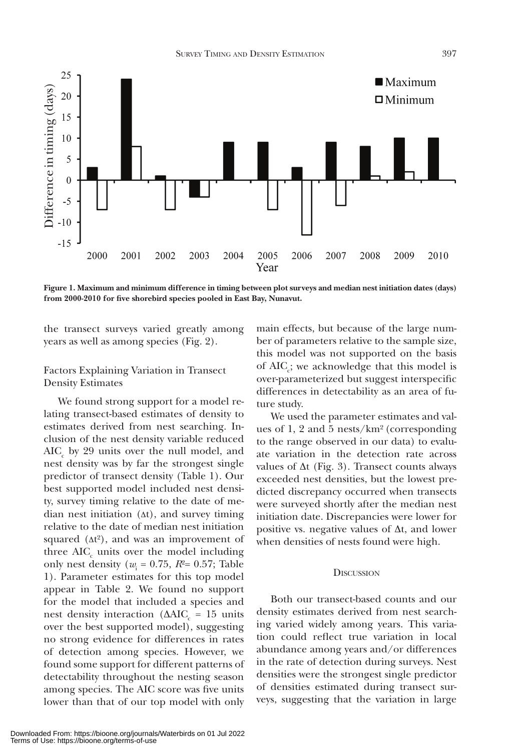

**Figure 1. Maximum and minimum difference in timing between plot surveys and median nest initiation dates (days)** 

the transect surveys varied greatly among years as well as among species (Fig. 2).

# Factors Explaining Variation in Transect Density Estimates

We found strong support for a model relating transect-based estimates of density to estimates derived from nest searching. Inclusion of the nest density variable reduced  $\mathrm{AIC}_{\mathrm{c}}$  by 29 units over the null model, and nest density was by far the strongest single predictor of transect density (Table 1). Our best supported model included nest density, survey timing relative to the date of median nest initiation (Δt), and survey timing relative to the date of median nest initiation squared  $(\Delta t^2)$ , and was an improvement of three  $AIC_c$  units over the model including only nest density ( $w_i = 0.75$ ,  $R^2 = 0.57$ ; Table 1). Parameter estimates for this top model appear in Table 2. We found no support for the model that included a species and nest density interaction ( $ΔAIC<sub>c</sub> = 15$  units over the best supported model), suggesting no strong evidence for differences in rates of detection among species. However, we found some support for different patterns of detectability throughout the nesting season among species. The AIC score was five units lower than that of our top model with only

main effects, but because of the large number of parameters relative to the sample size, this model was not supported on the basis of  $AIC<sub>c</sub>$ ; we acknowledge that this model is over-parameterized but suggest interspecific differences in detectability as an area of future study.

We used the parameter estimates and values of 1, 2 and 5 nests/km² (corresponding to the range observed in our data) to evaluate variation in the detection rate across values of  $\Delta t$  (Fig. 3). Transect counts always exceeded nest densities, but the lowest predicted discrepancy occurred when transects were surveyed shortly after the median nest initiation date. Discrepancies were lower for positive vs. negative values of  $\Delta t$ , and lower when densities of nests found were high.

# **DISCUSSION**

Both our transect-based counts and our density estimates derived from nest searching varied widely among years. This variation could reflect true variation in local abundance among years and/or differences in the rate of detection during surveys. Nest densities were the strongest single predictor of densities estimated during transect surveys, suggesting that the variation in large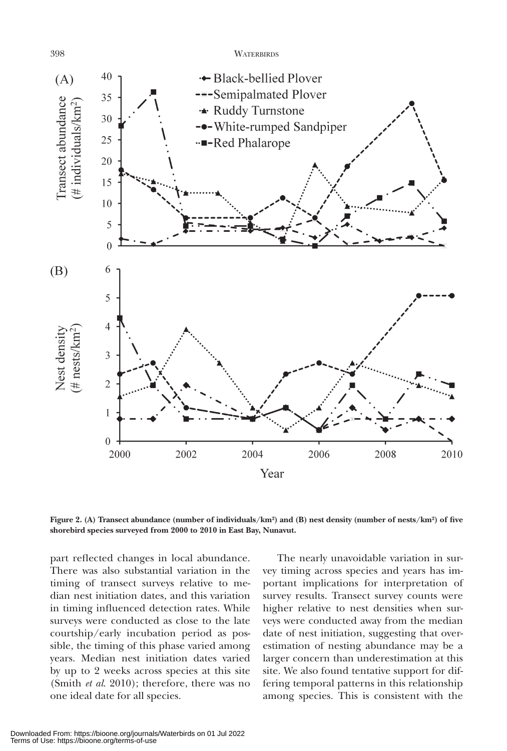398 WATERBIRDS



**Figure 2. (A) Transect abundance (number of individuals/km²) and (B) nest density (number of nests/km²) of five shorebird species surveyed from 2000 to 2010 in East Bay, Nunavut.**

part reflected changes in local abundance. There was also substantial variation in the timing of transect surveys relative to median nest initiation dates, and this variation in timing influenced detection rates. While surveys were conducted as close to the late courtship/early incubation period as possible, the timing of this phase varied among years. Median nest initiation dates varied by up to 2 weeks across species at this site (Smith *et al*. 2010); therefore, there was no one ideal date for all species.

The nearly unavoidable variation in survey timing across species and years has important implications for interpretation of survey results. Transect survey counts were higher relative to nest densities when surveys were conducted away from the median date of nest initiation, suggesting that overestimation of nesting abundance may be a larger concern than underestimation at this site. We also found tentative support for differing temporal patterns in this relationship among species. This is consistent with the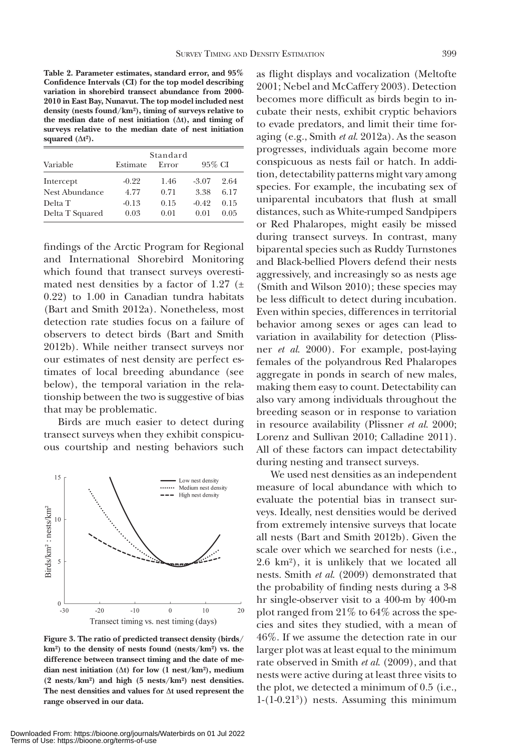**Table 2. Parameter estimates, standard error, and 95% Confidence Intervals (CI) for the top model describing variation in shorebird transect abundance from 2000- 2010 in East Bay, Nunavut. The top model included nest density (nests found/km²), timing of surveys relative to the median date of nest initiation (**Δ**t), and timing of surveys relative to the median date of nest initiation squared**  $(\Delta t^2)$ .

|                 | Standard |       |         |        |  |  |
|-----------------|----------|-------|---------|--------|--|--|
| Variable        | Estimate | Error |         | 95% CI |  |  |
| Intercept       | $-0.22$  | 1.46  | $-3.07$ | 2.64   |  |  |
| Nest Abundance  | 4.77     | 0.71  | 3.38    | 6.17   |  |  |
| Delta T         | $-0.13$  | 0.15  | $-0.42$ | 0.15   |  |  |
| Delta T Squared | 0.03     | 0.01  | 0.01    | 0.05   |  |  |

findings of the Arctic Program for Regional and International Shorebird Monitoring which found that transect surveys overestimated nest densities by a factor of 1.27  $(\pm$ 0.22) to 1.00 in Canadian tundra habitats (Bart and Smith 2012a). Nonetheless, most detection rate studies focus on a failure of observers to detect birds (Bart and Smith 2012b). While neither transect surveys nor our estimates of nest density are perfect estimates of local breeding abundance (see below), the temporal variation in the relationship between the two is suggestive of bias that may be problematic.

Birds are much easier to detect during transect surveys when they exhibit conspicuous courtship and nesting behaviors such



**Figure 3. The ratio of predicted transect density (birds/ km²) to the density of nests found (nests/km²) vs. the difference between transect timing and the date of median nest initiation (**Δ**t) for low (1 nest/km²), medium (2 nests/km²) and high (5 nests/km²) nest densities. The nest densities and values for** Δ**t used represent the range observed in our data.**

as flight displays and vocalization (Meltofte 2001; Nebel and McCaffery 2003). Detection becomes more difficult as birds begin to incubate their nests, exhibit cryptic behaviors to evade predators, and limit their time foraging (e.g., Smith *et al*. 2012a). As the season progresses, individuals again become more conspicuous as nests fail or hatch. In addition, detectability patterns might vary among species. For example, the incubating sex of uniparental incubators that flush at small distances, such as White-rumped Sandpipers or Red Phalaropes, might easily be missed during transect surveys. In contrast, many biparental species such as Ruddy Turnstones and Black-bellied Plovers defend their nests aggressively, and increasingly so as nests age (Smith and Wilson 2010); these species may be less difficult to detect during incubation. Even within species, differences in territorial behavior among sexes or ages can lead to variation in availability for detection (Plissner *et al*. 2000). For example, post-laying females of the polyandrous Red Phalaropes aggregate in ponds in search of new males, making them easy to count. Detectability can also vary among individuals throughout the breeding season or in response to variation in resource availability (Plissner *et al*. 2000; Lorenz and Sullivan 2010; Calladine 2011). All of these factors can impact detectability during nesting and transect surveys.

We used nest densities as an independent measure of local abundance with which to evaluate the potential bias in transect surveys. Ideally, nest densities would be derived from extremely intensive surveys that locate all nests (Bart and Smith 2012b). Given the scale over which we searched for nests (i.e., 2.6 km²), it is unlikely that we located all nests. Smith *et al*. (2009) demonstrated that the probability of finding nests during a 3-8 hr single-observer visit to a 400-m by 400-m plot ranged from 21% to 64% across the species and sites they studied, with a mean of 46%. If we assume the detection rate in our larger plot was at least equal to the minimum rate observed in Smith *et al*. (2009), and that nests were active during at least three visits to the plot, we detected a minimum of 0.5 (i.e., 1-(1-0.213 )) nests. Assuming this minimum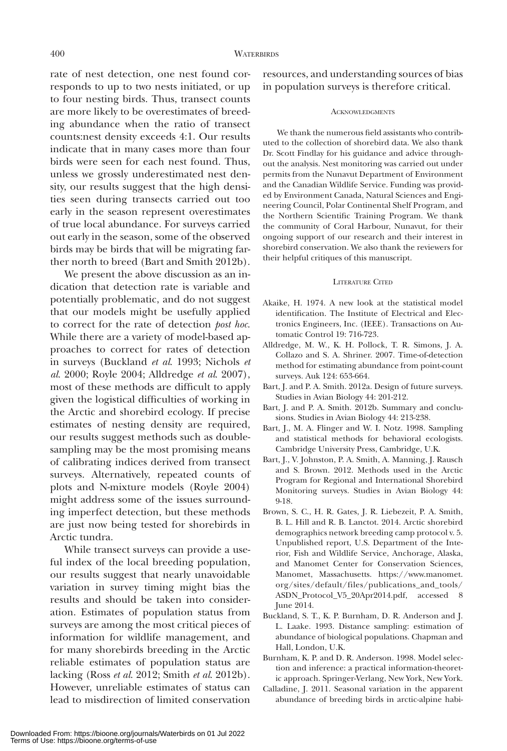rate of nest detection, one nest found corresponds to up to two nests initiated, or up to four nesting birds. Thus, transect counts are more likely to be overestimates of breeding abundance when the ratio of transect counts:nest density exceeds 4:1. Our results indicate that in many cases more than four birds were seen for each nest found. Thus, unless we grossly underestimated nest density, our results suggest that the high densities seen during transects carried out too early in the season represent overestimates of true local abundance. For surveys carried out early in the season, some of the observed birds may be birds that will be migrating farther north to breed (Bart and Smith 2012b).

We present the above discussion as an indication that detection rate is variable and potentially problematic, and do not suggest that our models might be usefully applied to correct for the rate of detection *post hoc*. While there are a variety of model-based approaches to correct for rates of detection in surveys (Buckland *et al*. 1993; Nichols *et al*. 2000; Royle 2004; Alldredge *et al*. 2007), most of these methods are difficult to apply given the logistical difficulties of working in the Arctic and shorebird ecology. If precise estimates of nesting density are required, our results suggest methods such as doublesampling may be the most promising means of calibrating indices derived from transect surveys. Alternatively, repeated counts of plots and N-mixture models (Royle 2004) might address some of the issues surrounding imperfect detection, but these methods are just now being tested for shorebirds in Arctic tundra.

While transect surveys can provide a useful index of the local breeding population, our results suggest that nearly unavoidable variation in survey timing might bias the results and should be taken into consideration. Estimates of population status from surveys are among the most critical pieces of information for wildlife management, and for many shorebirds breeding in the Arctic reliable estimates of population status are lacking (Ross *et al*. 2012; Smith *et al*. 2012b). However, unreliable estimates of status can lead to misdirection of limited conservation

resources, and understanding sources of bias in population surveys is therefore critical.

#### ACKNOWLEDGMENTS

We thank the numerous field assistants who contributed to the collection of shorebird data. We also thank Dr. Scott Findlay for his guidance and advice throughout the analysis. Nest monitoring was carried out under permits from the Nunavut Department of Environment and the Canadian Wildlife Service. Funding was provided by Environment Canada, Natural Sciences and Engineering Council, Polar Continental Shelf Program, and the Northern Scientific Training Program. We thank the community of Coral Harbour, Nunavut, for their ongoing support of our research and their interest in shorebird conservation. We also thank the reviewers for their helpful critiques of this manuscript.

#### LITERATURE CITED

- Akaike, H. 1974. A new look at the statistical model identification. The Institute of Electrical and Electronics Engineers, Inc. (IEEE). Transactions on Automatic Control 19: 716-723.
- Alldredge, M. W., K. H. Pollock, T. R. Simons, J. A. Collazo and S. A. Shriner. 2007. Time-of-detection method for estimating abundance from point-count surveys. Auk 124: 653-664.
- Bart, J. and P. A. Smith. 2012a. Design of future surveys. Studies in Avian Biology 44: 201-212.
- Bart, J. and P. A. Smith. 2012b. Summary and conclusions. Studies in Avian Biology 44: 213-238.
- Bart, J., M. A. Flinger and W. I. Notz. 1998. Sampling and statistical methods for behavioral ecologists. Cambridge University Press, Cambridge, U.K.
- Bart, J., V. Johnston, P. A. Smith, A. Manning, J. Rausch and S. Brown. 2012. Methods used in the Arctic Program for Regional and International Shorebird Monitoring surveys. Studies in Avian Biology 44: 9-18.
- Brown, S. C., H. R. Gates, J. R. Liebezeit, P. A. Smith, B. L. Hill and R. B. Lanctot. 2014. Arctic shorebird demographics network breeding camp protocol v. 5. Unpublished report, U.S. Department of the Interior, Fish and Wildlife Service, Anchorage, Alaska, and Manomet Center for Conservation Sciences, Manomet, Massachusetts. https://www.manomet. org/sites/default/files/publications\_and\_tools/ ASDN\_Protocol\_V5\_20Apr2014.pdf, accessed 8 June 2014.
- Buckland, S. T., K. P. Burnham, D. R. Anderson and J. L. Laake. 1993. Distance sampling: estimation of abundance of biological populations. Chapman and Hall, London, U.K.
- Burnham, K. P. and D. R. Anderson. 1998. Model selection and inference: a practical information-theoretic approach. Springer-Verlang, New York, New York.
- Calladine, J. 2011. Seasonal variation in the apparent abundance of breeding birds in arctic-alpine habi-